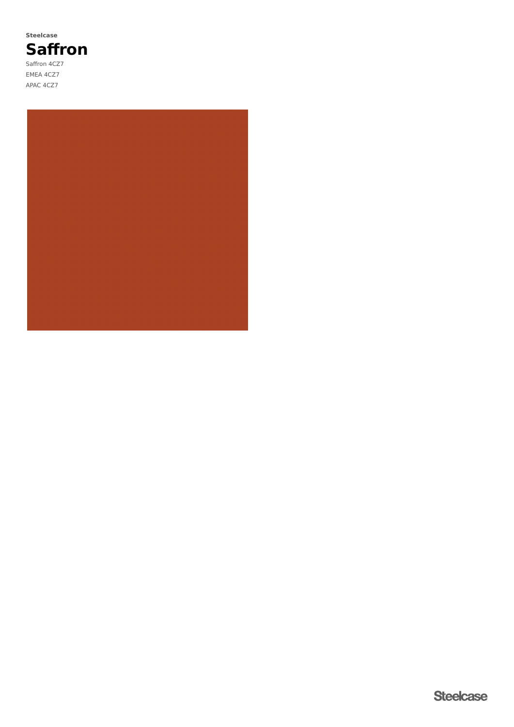**Saffron** Saffron 4CZ7 EMEA 4CZ7 APAC 4CZ7 **Steelcase**

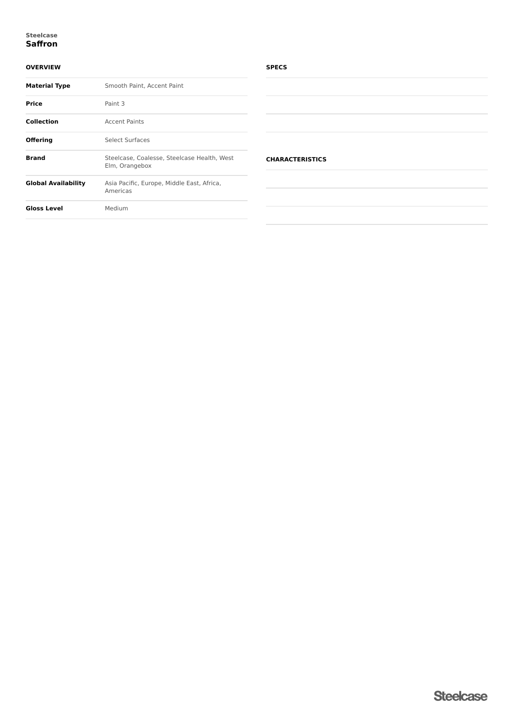#### **Saffron Steelcase**

## **OVERVIEW**

| <b>Material Type</b> | Smooth Paint, Accent Paint                                    |  |  |
|----------------------|---------------------------------------------------------------|--|--|
| Price                | Paint 3                                                       |  |  |
| <b>Collection</b>    | <b>Accent Paints</b>                                          |  |  |
| <b>Offering</b>      | Select Surfaces                                               |  |  |
| <b>Brand</b>         | Steelcase, Coalesse, Steelcase Health, West<br>Elm, Orangebox |  |  |
| Global Availability  | Asia Pacific, Europe, Middle East, Africa,<br>Americas        |  |  |
| <b>Gloss Level</b>   | Medium                                                        |  |  |
|                      |                                                               |  |  |

### **SPECS**